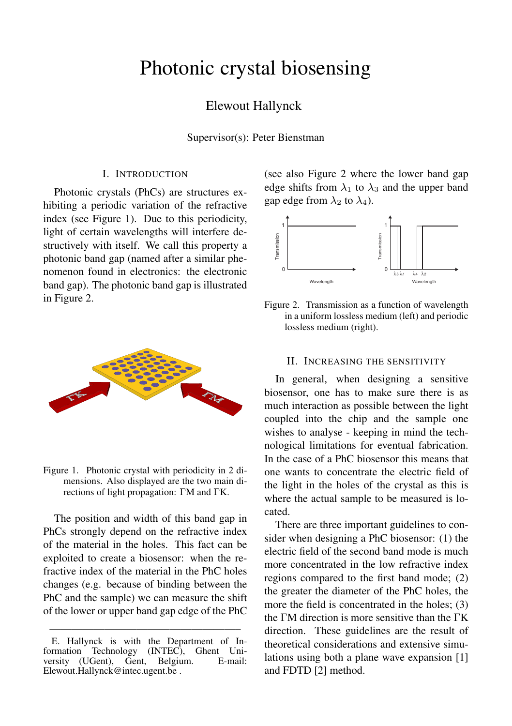# Photonic crystal biosensing

# Elewout Hallynck

Supervisor(s): Peter Bienstman

## I. INTRODUCTION

Photonic crystals (PhCs) are structures exhibiting a periodic variation of the refractive index (see Figure 1). Due to this periodicity, light of certain wavelengths will interfere destructively with itself. We call this property a photonic band gap (named after a similar phenomenon found in electronics: the electronic band gap). The photonic band gap is illustrated in Figure 2.



Figure 1. Photonic crystal with periodicity in 2 dimensions. Also displayed are the two main directions of light propagation: ΓM and ΓK.

The position and width of this band gap in PhCs strongly depend on the refractive index of the material in the holes. This fact can be exploited to create a biosensor: when the refractive index of the material in the PhC holes changes (e.g. because of binding between the PhC and the sample) we can measure the shift of the lower or upper band gap edge of the PhC

—————————————————–

(see also Figure 2 where the lower band gap edge shifts from  $\lambda_1$  to  $\lambda_3$  and the upper band gap edge from  $\lambda_2$  to  $\lambda_4$ ).



Figure 2. Transmission as a function of wavelength in a uniform lossless medium (left) and periodic lossless medium (right).

#### II. INCREASING THE SENSITIVITY

In general, when designing a sensitive biosensor, one has to make sure there is as much interaction as possible between the light coupled into the chip and the sample one wishes to analyse - keeping in mind the technological limitations for eventual fabrication. In the case of a PhC biosensor this means that one wants to concentrate the electric field of the light in the holes of the crystal as this is where the actual sample to be measured is located.

There are three important guidelines to consider when designing a PhC biosensor: (1) the electric field of the second band mode is much more concentrated in the low refractive index regions compared to the first band mode; (2) the greater the diameter of the PhC holes, the more the field is concentrated in the holes; (3) the ΓM direction is more sensitive than the ΓK direction. These guidelines are the result of theoretical considerations and extensive simulations using both a plane wave expansion [1] and FDTD [2] method.

E. Hallynck is with the Department of Information Technology (INTEC), Ghent University (UGent), Gent, Belgium. Elewout.Hallynck@intec.ugent.be .